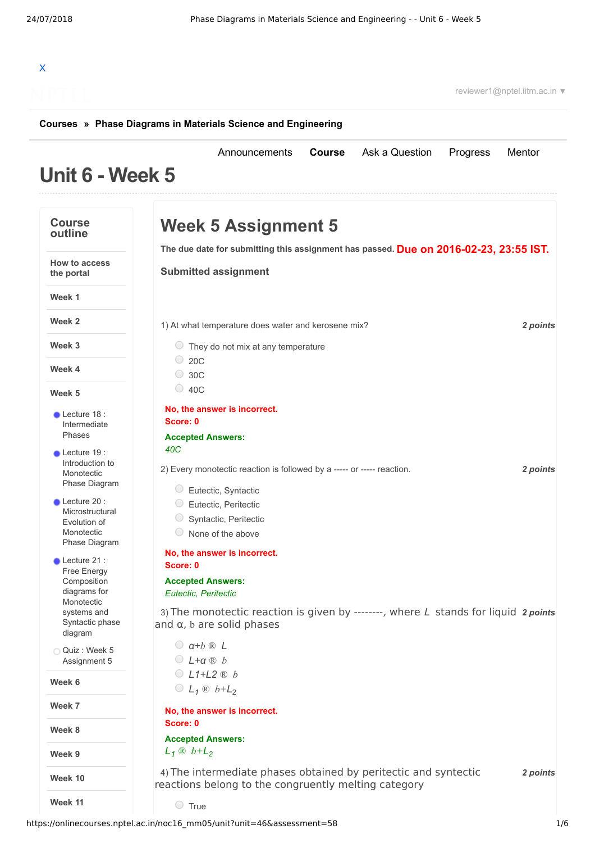## X

reviewer1@nptel.iitm.ac.in ▼

## **[Courses](https://onlinecourses.nptel.ac.in/) » [Phase Diagrams in Materials Science and Engineering](https://onlinecourses.nptel.ac.in/noc16_mm05/course)**

## **Unit 6 - Week 5** [Announcements](https://onlinecourses.nptel.ac.in/noc16_mm05/announcements) **[Course](https://onlinecourses.nptel.ac.in/noc16_mm05/course)** [Ask a Question](https://onlinecourses.nptel.ac.in/noc16_mm05/forum) [Progress](https://onlinecourses.nptel.ac.in/noc16_mm05/student/home) [Mentor](https://onlinecourses.nptel.ac.in/noc16_mm05/student/mentor) **Course outline How to access the portal Week 1 Week 2 Week 3 Week 4 Week 5 Week 6 Week 7 Week 8 Week 9 Week 10 Week 11** Lecture 18 : [Intermediate](https://onlinecourses.nptel.ac.in/noc16_mm05/unit?unit=46&lesson=47) Phases Lecture 19: [Introduction](https://onlinecourses.nptel.ac.in/noc16_mm05/unit?unit=46&lesson=48) to **Monotectic** Phase Diagram Lecture 20 : **[Microstructural](https://onlinecourses.nptel.ac.in/noc16_mm05/unit?unit=46&lesson=49)** Evolution of Monotectic Phase Diagram Lecture 21 : Free Energy [Composition](https://onlinecourses.nptel.ac.in/noc16_mm05/unit?unit=46&lesson=50) diagrams for Monotectic systems and Syntactic phase diagram Quiz : Week 5 [Assignment](https://onlinecourses.nptel.ac.in/noc16_mm05/assessment?name=58) 5 **Due on 2016-02-23, 23:55 IST. The due date for submitting this assignment has passed.** 1) *2 points* At what temperature does water and kerosene mix? 2) *2 points* Every monotectic reaction is followed by a ----- or ----- reaction. 3) The monotectic reaction is given by --------, where L stands for liquid 2 *points* 4) *2 points* The intermediate phases obtained by peritectic and syntectic **Week 5 Assignment 5 Submitted assignment**  $\bigcirc$  They do not mix at any temperature  $\bigcirc$  20C 30C 40C **No, the answer is incorrect. Score: 0 Accepted Answers:** *40C* Eutectic, Syntactic Eutectic, Peritectic O Syntactic, Peritectic  $\circ$  None of the above **No, the answer is incorrect. Score: 0 Accepted Answers:** *Eutectic, Peritectic* and α, b are solid phases *α+b ® L L+α ® b L1+L2 ® b*  $C_{L_1}$   $\otimes$   $b+L_2$ **No, the answer is incorrect. Score: 0 Accepted Answers:** *L<sup>1</sup> ® b+L<sup>2</sup>* reactions belong to the congruently melting category  $\circ$  True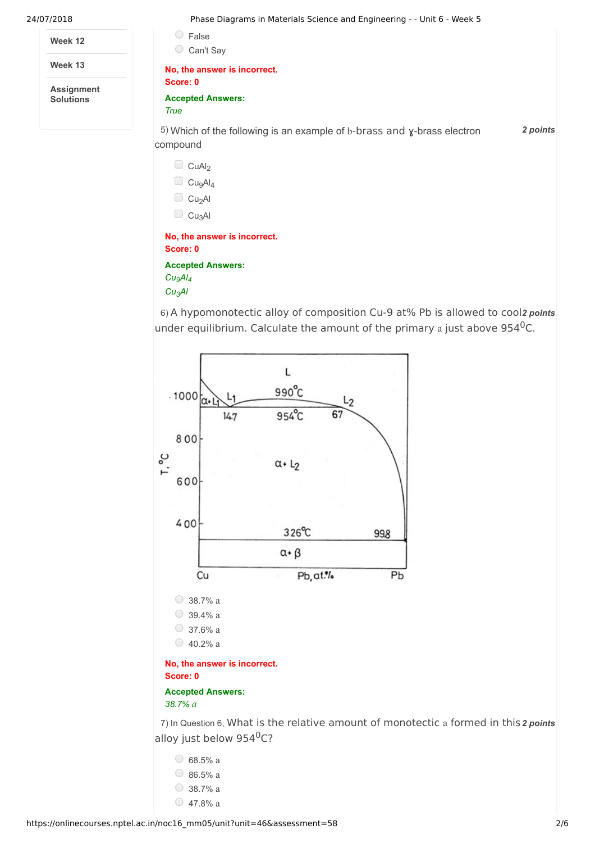**Week 12**

**Week 13**

**Assignment Solutions**

24/07/2018 Phase Diagrams in Materials Science and Engineering - - Unit 6 - Week 5

| False                                                                               |          |
|-------------------------------------------------------------------------------------|----------|
| Can't Say<br>$\bigcirc$                                                             |          |
| No, the answer is incorrect.<br>Score: 0                                            |          |
| <b>Accepted Answers:</b><br>True                                                    |          |
| 5) Which of the following is an example of b-brass and y-brass electron<br>compound | 2 points |
| CuAl <sub>2</sub>                                                                   |          |
| Cu <sub>9</sub> Al <sub>4</sub>                                                     |          |
| Cu <sub>2</sub> Al                                                                  |          |
| Cu <sub>3</sub> Al<br>$\Box$                                                        |          |
| No, the answer is incorrect.                                                        |          |
| Score: 0                                                                            |          |
| <b>Accepted Answers:</b>                                                            |          |
| Cu <sub>9</sub> Al <sub>4</sub>                                                     |          |

*Cu3Al*

6) A hypomonotectic alloy of composition Cu-9 at% Pb is allowed to cool2 *points* under equilibrium. Calculate the amount of the primary a just above  $954^0C$ .



7) In Question 6, What is the relative amount of monotectic a formed in this 2 points alloy just below 954<sup>0</sup>C?

| 68.5% a |
|---------|
| 86.5% a |
| 38.7% a |
| 47.8% a |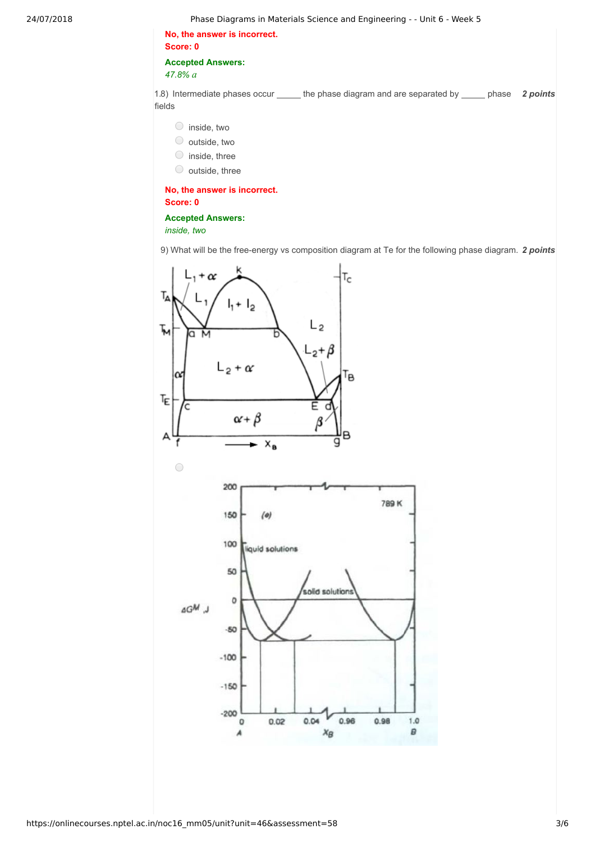| No. the answer is incorrect. |
|------------------------------|
| Score: 0                     |
| <b>Accepted Answers:</b>     |

*47.8% a*

1.8) Intermediate phases occur \_\_\_\_\_\_ the phase diagram and are separated by \_\_\_\_\_\_ phase 2 *points* fields

- inside, two
- outside, two
- $\bigcirc$  inside, three
- $\circ$  outside, three

**No, the answer is incorrect. Score: 0**

## **Accepted Answers:**

*inside, two*

9) What will be the free-energy vs composition diagram at Te for the following phase diagram. 2 *points* 

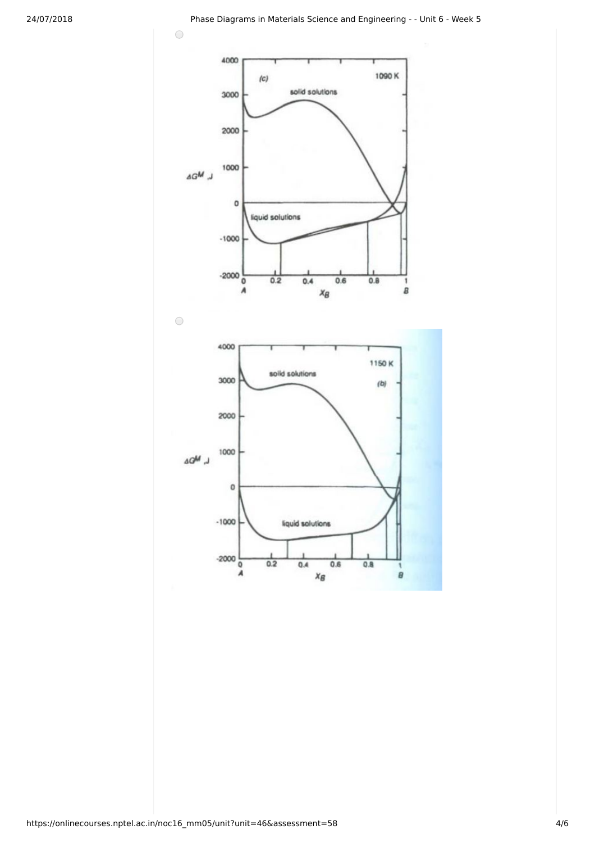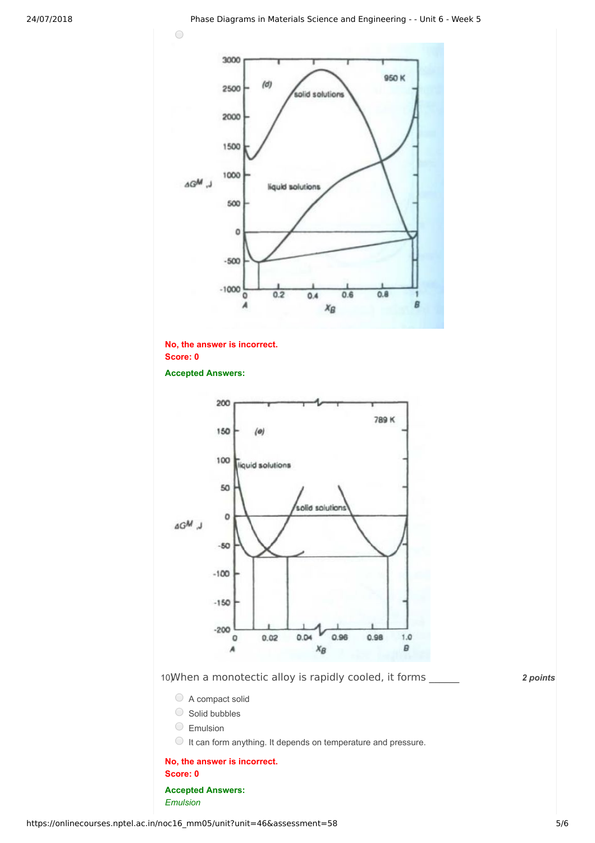

**No, the answer is incorrect. Score: 0 Accepted Answers:**

*Emulsion*